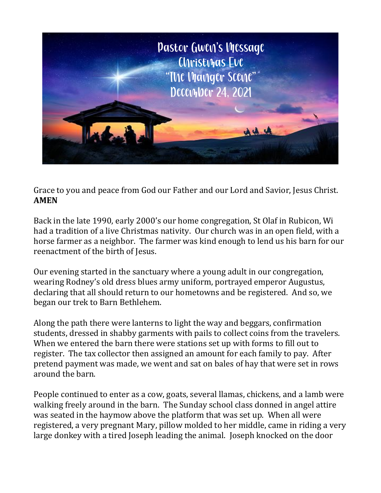

Grace to you and peace from God our Father and our Lord and Savior, Jesus Christ. **AMEN**

Back in the late 1990, early 2000's our home congregation, St Olaf in Rubicon, Wi had a tradition of a live Christmas nativity. Our church was in an open field, with a horse farmer as a neighbor. The farmer was kind enough to lend us his barn for our reenactment of the birth of Jesus.

Our evening started in the sanctuary where a young adult in our congregation, wearing Rodney's old dress blues army uniform, portrayed emperor Augustus, declaring that all should return to our hometowns and be registered. And so, we began our trek to Barn Bethlehem.

Along the path there were lanterns to light the way and beggars, confirmation students, dressed in shabby garments with pails to collect coins from the travelers. When we entered the barn there were stations set up with forms to fill out to register. The tax collector then assigned an amount for each family to pay. After pretend payment was made, we went and sat on bales of hay that were set in rows around the barn.

People continued to enter as a cow, goats, several llamas, chickens, and a lamb were walking freely around in the barn. The Sunday school class donned in angel attire was seated in the haymow above the platform that was set up. When all were registered, a very pregnant Mary, pillow molded to her middle, came in riding a very large donkey with a tired Joseph leading the animal. Joseph knocked on the door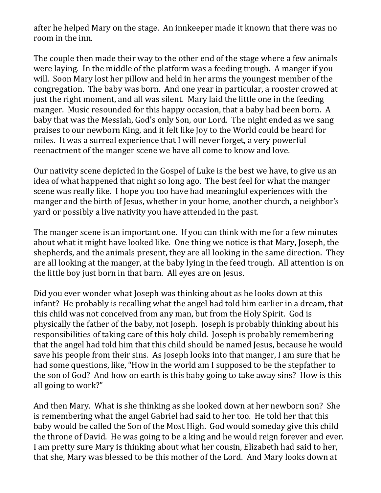after he helped Mary on the stage. An innkeeper made it known that there was no room in the inn.

The couple then made their way to the other end of the stage where a few animals were laying. In the middle of the platform was a feeding trough. A manger if you will. Soon Mary lost her pillow and held in her arms the youngest member of the congregation. The baby was born. And one year in particular, a rooster crowed at just the right moment, and all was silent. Mary laid the little one in the feeding manger. Music resounded for this happy occasion, that a baby had been born. A baby that was the Messiah, God's only Son, our Lord. The night ended as we sang praises to our newborn King, and it felt like Joy to the World could be heard for miles. It was a surreal experience that I will never forget, a very powerful reenactment of the manger scene we have all come to know and love.

Our nativity scene depicted in the Gospel of Luke is the best we have, to give us an idea of what happened that night so long ago. The best feel for what the manger scene was really like. I hope you too have had meaningful experiences with the manger and the birth of Jesus, whether in your home, another church, a neighbor's yard or possibly a live nativity you have attended in the past.

The manger scene is an important one. If you can think with me for a few minutes about what it might have looked like. One thing we notice is that Mary, Joseph, the shepherds, and the animals present, they are all looking in the same direction. They are all looking at the manger, at the baby lying in the feed trough. All attention is on the little boy just born in that barn. All eyes are on Jesus.

Did you ever wonder what Joseph was thinking about as he looks down at this infant? He probably is recalling what the angel had told him earlier in a dream, that this child was not conceived from any man, but from the Holy Spirit. God is physically the father of the baby, not Joseph. Joseph is probably thinking about his responsibilities of taking care of this holy child. Joseph is probably remembering that the angel had told him that this child should be named Jesus, because he would save his people from their sins. As Joseph looks into that manger, I am sure that he had some questions, like, "How in the world am I supposed to be the stepfather to the son of God? And how on earth is this baby going to take away sins? How is this all going to work?"

And then Mary. What is she thinking as she looked down at her newborn son? She is remembering what the angel Gabriel had said to her too. He told her that this baby would be called the Son of the Most High. God would someday give this child the throne of David. He was going to be a king and he would reign forever and ever. I am pretty sure Mary is thinking about what her cousin, Elizabeth had said to her, that she, Mary was blessed to be this mother of the Lord. And Mary looks down at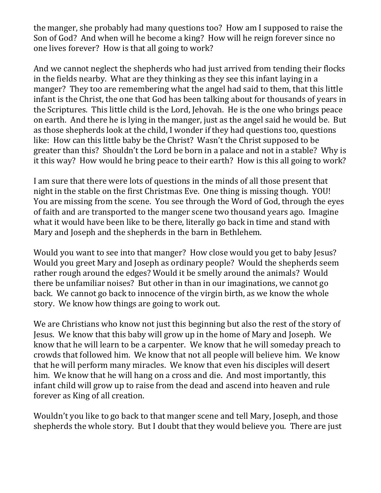the manger, she probably had many questions too? How am I supposed to raise the Son of God? And when will he become a king? How will he reign forever since no one lives forever? How is that all going to work?

And we cannot neglect the shepherds who had just arrived from tending their flocks in the fields nearby. What are they thinking as they see this infant laying in a manger? They too are remembering what the angel had said to them, that this little infant is the Christ, the one that God has been talking about for thousands of years in the Scriptures. This little child is the Lord, Jehovah. He is the one who brings peace on earth. And there he is lying in the manger, just as the angel said he would be. But as those shepherds look at the child, I wonder if they had questions too, questions like: How can this little baby be the Christ? Wasn't the Christ supposed to be greater than this? Shouldn't the Lord be born in a palace and not in a stable? Why is it this way? How would he bring peace to their earth? How is this all going to work?

I am sure that there were lots of questions in the minds of all those present that night in the stable on the first Christmas Eve. One thing is missing though. YOU! You are missing from the scene. You see through the Word of God, through the eyes of faith and are transported to the manger scene two thousand years ago. Imagine what it would have been like to be there, literally go back in time and stand with Mary and Joseph and the shepherds in the barn in Bethlehem.

Would you want to see into that manger? How close would you get to baby Jesus? Would you greet Mary and Joseph as ordinary people? Would the shepherds seem rather rough around the edges? Would it be smelly around the animals? Would there be unfamiliar noises? But other in than in our imaginations, we cannot go back. We cannot go back to innocence of the virgin birth, as we know the whole story. We know how things are going to work out.

We are Christians who know not just this beginning but also the rest of the story of Jesus. We know that this baby will grow up in the home of Mary and Joseph. We know that he will learn to be a carpenter. We know that he will someday preach to crowds that followed him. We know that not all people will believe him. We know that he will perform many miracles. We know that even his disciples will desert him. We know that he will hang on a cross and die. And most importantly, this infant child will grow up to raise from the dead and ascend into heaven and rule forever as King of all creation.

Wouldn't you like to go back to that manger scene and tell Mary, Joseph, and those shepherds the whole story. But I doubt that they would believe you. There are just